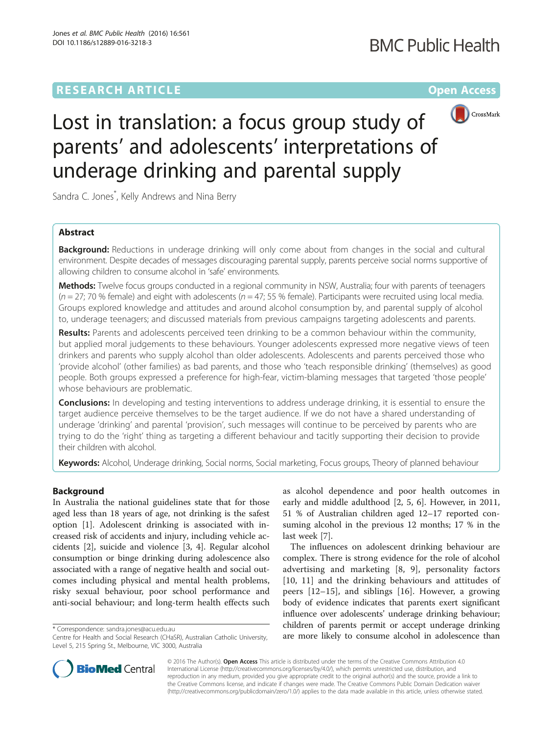## **RESEARCH ARTICLE External Structure Community Community Community Community Community Community Community Community**



# Lost in translation: a focus group study of parents' and adolescents' interpretations of underage drinking and parental supply

Sandra C. Jones<sup>\*</sup>, Kelly Andrews and Nina Berry

## Abstract

**Background:** Reductions in underage drinking will only come about from changes in the social and cultural environment. Despite decades of messages discouraging parental supply, parents perceive social norms supportive of allowing children to consume alcohol in 'safe' environments.

Methods: Twelve focus groups conducted in a regional community in NSW, Australia; four with parents of teenagers  $(n = 27; 70\%$  female) and eight with adolescents  $(n = 47; 55\%$  female). Participants were recruited using local media. Groups explored knowledge and attitudes and around alcohol consumption by, and parental supply of alcohol to, underage teenagers; and discussed materials from previous campaigns targeting adolescents and parents.

Results: Parents and adolescents perceived teen drinking to be a common behaviour within the community, but applied moral judgements to these behaviours. Younger adolescents expressed more negative views of teen drinkers and parents who supply alcohol than older adolescents. Adolescents and parents perceived those who 'provide alcohol' (other families) as bad parents, and those who 'teach responsible drinking' (themselves) as good people. Both groups expressed a preference for high-fear, victim-blaming messages that targeted 'those people' whose behaviours are problematic.

**Conclusions:** In developing and testing interventions to address underage drinking, it is essential to ensure the target audience perceive themselves to be the target audience. If we do not have a shared understanding of underage 'drinking' and parental 'provision', such messages will continue to be perceived by parents who are trying to do the 'right' thing as targeting a different behaviour and tacitly supporting their decision to provide their children with alcohol.

Keywords: Alcohol, Underage drinking, Social norms, Social marketing, Focus groups, Theory of planned behaviour

## Background

In Australia the national guidelines state that for those aged less than 18 years of age, not drinking is the safest option [[1\]](#page-8-0). Adolescent drinking is associated with increased risk of accidents and injury, including vehicle accidents [\[2](#page-8-0)], suicide and violence [\[3, 4](#page-8-0)]. Regular alcohol consumption or binge drinking during adolescence also associated with a range of negative health and social outcomes including physical and mental health problems, risky sexual behaviour, poor school performance and anti-social behaviour; and long-term health effects such

as alcohol dependence and poor health outcomes in early and middle adulthood [\[2](#page-8-0), [5](#page-8-0), [6\]](#page-8-0). However, in 2011, 51 % of Australian children aged 12–17 reported consuming alcohol in the previous 12 months; 17 % in the last week [\[7](#page-8-0)].

The influences on adolescent drinking behaviour are complex. There is strong evidence for the role of alcohol advertising and marketing [[8](#page-8-0), [9](#page-8-0)], personality factors [[10, 11\]](#page-8-0) and the drinking behaviours and attitudes of peers [[12](#page-8-0)–[15\]](#page-8-0), and siblings [\[16](#page-8-0)]. However, a growing body of evidence indicates that parents exert significant influence over adolescents' underage drinking behaviour; children of parents permit or accept underage drinking correspondence: [sandra.jones@acu.edu.au](mailto:sandra.jones@acu.edu.au)<br>Centre for Health and Social Research (CHaSR). Australian Catholic University. **are more likely to consume alcohol in adolescence than** 



© 2016 The Author(s). Open Access This article is distributed under the terms of the Creative Commons Attribution 4.0 International License [\(http://creativecommons.org/licenses/by/4.0/](http://creativecommons.org/licenses/by/4.0/)), which permits unrestricted use, distribution, and reproduction in any medium, provided you give appropriate credit to the original author(s) and the source, provide a link to the Creative Commons license, and indicate if changes were made. The Creative Commons Public Domain Dedication waiver [\(http://creativecommons.org/publicdomain/zero/1.0/](http://creativecommons.org/publicdomain/zero/1.0/)) applies to the data made available in this article, unless otherwise stated.

Centre for Health and Social Research (CHaSR), Australian Catholic University, Level 5, 215 Spring St., Melbourne, VIC 3000, Australia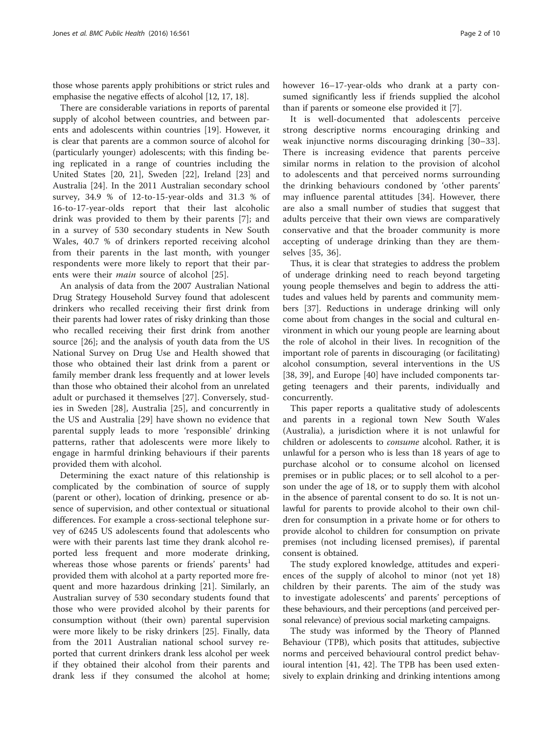those whose parents apply prohibitions or strict rules and emphasise the negative effects of alcohol [\[12](#page-8-0), [17](#page-8-0), [18\]](#page-8-0).

There are considerable variations in reports of parental supply of alcohol between countries, and between parents and adolescents within countries [\[19](#page-8-0)]. However, it is clear that parents are a common source of alcohol for (particularly younger) adolescents; with this finding being replicated in a range of countries including the United States [\[20](#page-8-0), [21](#page-8-0)], Sweden [[22](#page-8-0)], Ireland [\[23](#page-8-0)] and Australia [[24](#page-9-0)]. In the 2011 Australian secondary school survey, 34.9 % of 12-to-15-year-olds and 31.3 % of 16-to-17-year-olds report that their last alcoholic drink was provided to them by their parents [\[7](#page-8-0)]; and in a survey of 530 secondary students in New South Wales, 40.7 % of drinkers reported receiving alcohol from their parents in the last month, with younger respondents were more likely to report that their parents were their *main* source of alcohol [[25\]](#page-9-0).

An analysis of data from the 2007 Australian National Drug Strategy Household Survey found that adolescent drinkers who recalled receiving their first drink from their parents had lower rates of risky drinking than those who recalled receiving their first drink from another source [\[26\]](#page-9-0); and the analysis of youth data from the US National Survey on Drug Use and Health showed that those who obtained their last drink from a parent or family member drank less frequently and at lower levels than those who obtained their alcohol from an unrelated adult or purchased it themselves [\[27](#page-9-0)]. Conversely, studies in Sweden [[28\]](#page-9-0), Australia [[25\]](#page-9-0), and concurrently in the US and Australia [[29\]](#page-9-0) have shown no evidence that parental supply leads to more 'responsible' drinking patterns, rather that adolescents were more likely to engage in harmful drinking behaviours if their parents provided them with alcohol.

Determining the exact nature of this relationship is complicated by the combination of source of supply (parent or other), location of drinking, presence or absence of supervision, and other contextual or situational differences. For example a cross-sectional telephone survey of 6245 US adolescents found that adolescents who were with their parents last time they drank alcohol reported less frequent and more moderate drinking, whereas those whose parents or friends' parents<sup>1</sup> had provided them with alcohol at a party reported more frequent and more hazardous drinking [\[21](#page-8-0)]. Similarly, an Australian survey of 530 secondary students found that those who were provided alcohol by their parents for consumption without (their own) parental supervision were more likely to be risky drinkers [[25\]](#page-9-0). Finally, data from the 2011 Australian national school survey reported that current drinkers drank less alcohol per week if they obtained their alcohol from their parents and drank less if they consumed the alcohol at home; however 16–17-year-olds who drank at a party consumed significantly less if friends supplied the alcohol than if parents or someone else provided it [\[7](#page-8-0)].

It is well-documented that adolescents perceive strong descriptive norms encouraging drinking and weak injunctive norms discouraging drinking [\[30](#page-9-0)–[33](#page-9-0)]. There is increasing evidence that parents perceive similar norms in relation to the provision of alcohol to adolescents and that perceived norms surrounding the drinking behaviours condoned by 'other parents' may influence parental attitudes [\[34](#page-9-0)]. However, there are also a small number of studies that suggest that adults perceive that their own views are comparatively conservative and that the broader community is more accepting of underage drinking than they are themselves [[35, 36](#page-9-0)].

Thus, it is clear that strategies to address the problem of underage drinking need to reach beyond targeting young people themselves and begin to address the attitudes and values held by parents and community members [[37\]](#page-9-0). Reductions in underage drinking will only come about from changes in the social and cultural environment in which our young people are learning about the role of alcohol in their lives. In recognition of the important role of parents in discouraging (or facilitating) alcohol consumption, several interventions in the US [[38, 39\]](#page-9-0), and Europe [[40\]](#page-9-0) have included components targeting teenagers and their parents, individually and concurrently.

This paper reports a qualitative study of adolescents and parents in a regional town New South Wales (Australia), a jurisdiction where it is not unlawful for children or adolescents to consume alcohol. Rather, it is unlawful for a person who is less than 18 years of age to purchase alcohol or to consume alcohol on licensed premises or in public places; or to sell alcohol to a person under the age of 18, or to supply them with alcohol in the absence of parental consent to do so. It is not unlawful for parents to provide alcohol to their own children for consumption in a private home or for others to provide alcohol to children for consumption on private premises (not including licensed premises), if parental consent is obtained.

The study explored knowledge, attitudes and experiences of the supply of alcohol to minor (not yet 18) children by their parents. The aim of the study was to investigate adolescents' and parents' perceptions of these behaviours, and their perceptions (and perceived personal relevance) of previous social marketing campaigns.

The study was informed by the Theory of Planned Behaviour (TPB), which posits that attitudes, subjective norms and perceived behavioural control predict behavioural intention [[41, 42](#page-9-0)]. The TPB has been used extensively to explain drinking and drinking intentions among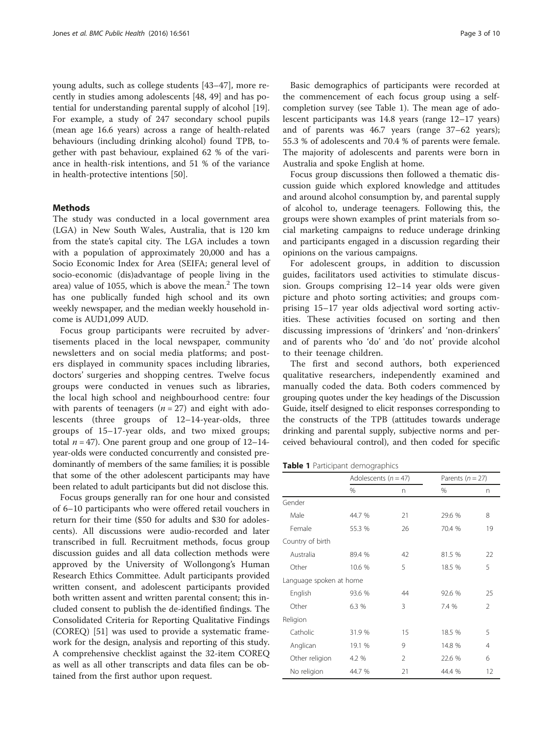young adults, such as college students [\[43](#page-9-0)–[47\]](#page-9-0), more recently in studies among adolescents [[48](#page-9-0), [49](#page-9-0)] and has potential for understanding parental supply of alcohol [\[19](#page-8-0)]. For example, a study of 247 secondary school pupils (mean age 16.6 years) across a range of health-related behaviours (including drinking alcohol) found TPB, together with past behaviour, explained 62 % of the variance in health-risk intentions, and 51 % of the variance in health-protective intentions [\[50\]](#page-9-0).

### Methods

The study was conducted in a local government area (LGA) in New South Wales, Australia, that is 120 km from the state's capital city. The LGA includes a town with a population of approximately 20,000 and has a Socio Economic Index for Area (SEIFA; general level of socio-economic (dis)advantage of people living in the area) value of 1055, which is above the mean.<sup>2</sup> The town has one publically funded high school and its own weekly newspaper, and the median weekly household income is AUD1,099 AUD.

Focus group participants were recruited by advertisements placed in the local newspaper, community newsletters and on social media platforms; and posters displayed in community spaces including libraries, doctors' surgeries and shopping centres. Twelve focus groups were conducted in venues such as libraries, the local high school and neighbourhood centre: four with parents of teenagers ( $n = 27$ ) and eight with adolescents (three groups of 12–14-year-olds, three groups of 15–17-year olds, and two mixed groups; total  $n = 47$ ). One parent group and one group of 12–14year-olds were conducted concurrently and consisted predominantly of members of the same families; it is possible that some of the other adolescent participants may have been related to adult participants but did not disclose this.

Focus groups generally ran for one hour and consisted of 6–10 participants who were offered retail vouchers in return for their time (\$50 for adults and \$30 for adolescents). All discussions were audio-recorded and later transcribed in full. Recruitment methods, focus group discussion guides and all data collection methods were approved by the University of Wollongong's Human Research Ethics Committee. Adult participants provided written consent, and adolescent participants provided both written assent and written parental consent; this included consent to publish the de-identified findings. The Consolidated Criteria for Reporting Qualitative Findings (COREQ) [[51](#page-9-0)] was used to provide a systematic framework for the design, analysis and reporting of this study. A comprehensive checklist against the 32-item COREQ as well as all other transcripts and data files can be obtained from the first author upon request.

Basic demographics of participants were recorded at the commencement of each focus group using a selfcompletion survey (see Table 1). The mean age of adolescent participants was 14.8 years (range 12–17 years) and of parents was 46.7 years (range 37–62 years); 55.3 % of adolescents and 70.4 % of parents were female. The majority of adolescents and parents were born in Australia and spoke English at home.

Focus group discussions then followed a thematic discussion guide which explored knowledge and attitudes and around alcohol consumption by, and parental supply of alcohol to, underage teenagers. Following this, the groups were shown examples of print materials from social marketing campaigns to reduce underage drinking and participants engaged in a discussion regarding their opinions on the various campaigns.

For adolescent groups, in addition to discussion guides, facilitators used activities to stimulate discussion. Groups comprising 12–14 year olds were given picture and photo sorting activities; and groups comprising 15–17 year olds adjectival word sorting activities. These activities focused on sorting and then discussing impressions of 'drinkers' and 'non-drinkers' and of parents who 'do' and 'do not' provide alcohol to their teenage children.

The first and second authors, both experienced qualitative researchers, independently examined and manually coded the data. Both coders commenced by grouping quotes under the key headings of the Discussion Guide, itself designed to elicit responses corresponding to the constructs of the TPB (attitudes towards underage drinking and parental supply, subjective norms and perceived behavioural control), and then coded for specific

Table 1 Participant demographics

|                         | Adolescents ( $n = 47$ ) |                | Parents $(n = 27)$ |    |
|-------------------------|--------------------------|----------------|--------------------|----|
|                         | %                        | n              | %                  | n  |
| Gender                  |                          |                |                    |    |
| Male                    | 44.7 %                   | 21             | 29.6 %             | 8  |
| Female                  | 55.3 %                   | 26             | 70.4 %             | 19 |
| Country of birth        |                          |                |                    |    |
| Australia               | 89.4 %                   | 42             | 81.5 %             | 22 |
| Other                   | 10.6 %                   | 5              | 18.5 %             | 5  |
| Language spoken at home |                          |                |                    |    |
| English                 | 93.6 %                   | 44             | 92.6 %             | 25 |
| Other                   | 6.3 %                    | 3              | 7.4 %              | 2  |
| Religion                |                          |                |                    |    |
| Catholic                | 31.9%                    | 15             | 18.5 %             | 5  |
| Anglican                | 19.1 %                   | 9              | 14.8 %             | 4  |
| Other religion          | 4.2 %                    | $\mathfrak{D}$ | 22.6 %             | 6  |
| No religion             | 44.7 %                   | 21             | 44.4 %             | 12 |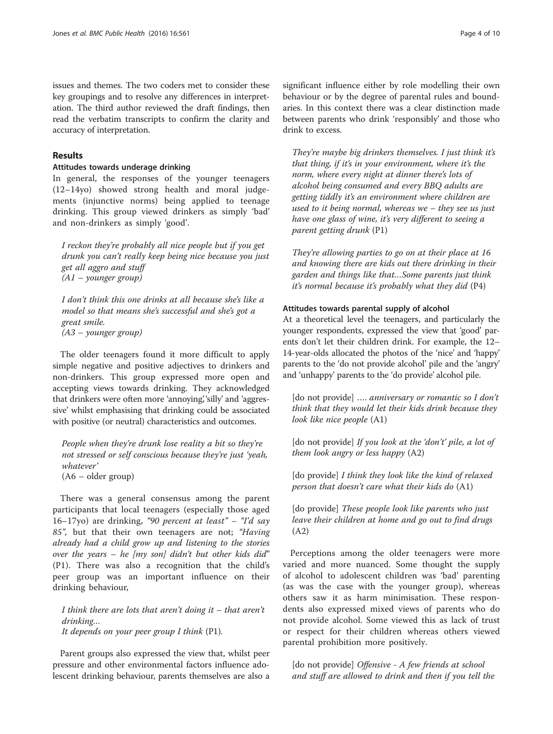issues and themes. The two coders met to consider these key groupings and to resolve any differences in interpretation. The third author reviewed the draft findings, then read the verbatim transcripts to confirm the clarity and accuracy of interpretation.

## Results

#### Attitudes towards underage drinking

In general, the responses of the younger teenagers (12–14yo) showed strong health and moral judgements (injunctive norms) being applied to teenage drinking. This group viewed drinkers as simply 'bad' and non-drinkers as simply 'good'.

I reckon they're probably all nice people but if you get drunk you can't really keep being nice because you just get all aggro and stuff (A1 – younger group)

I don't think this one drinks at all because she's like a model so that means she's successful and she's got a great smile. (A3 – younger group)

The older teenagers found it more difficult to apply simple negative and positive adjectives to drinkers and non-drinkers. This group expressed more open and accepting views towards drinking. They acknowledged that drinkers were often more 'annoying' silly' and 'aggressive' whilst emphasising that drinking could be associated with positive (or neutral) characteristics and outcomes.

People when they're drunk lose reality a bit so they're not stressed or self conscious because they're just 'yeah, whatever' (A6 – older group)

There was a general consensus among the parent participants that local teenagers (especially those aged 16–17yo) are drinking, "90 percent at least" – "I'd say 85", but that their own teenagers are not; "Having already had a child grow up and listening to the stories over the years – he [my son] didn't but other kids did" (P1). There was also a recognition that the child's peer group was an important influence on their drinking behaviour,

I think there are lots that aren't doing it  $-$  that aren't drinking… It depends on your peer group I think (P1).

Parent groups also expressed the view that, whilst peer pressure and other environmental factors influence adolescent drinking behaviour, parents themselves are also a significant influence either by role modelling their own behaviour or by the degree of parental rules and boundaries. In this context there was a clear distinction made between parents who drink 'responsibly' and those who drink to excess.

They're maybe big drinkers themselves. I just think it's that thing, if it's in your environment, where it's the norm, where every night at dinner there's lots of alcohol being consumed and every BBQ adults are getting tiddly it's an environment where children are used to it being normal, whereas we – they see us just have one glass of wine, it's very different to seeing a parent getting drunk (P1)

They're allowing parties to go on at their place at 16 and knowing there are kids out there drinking in their garden and things like that…Some parents just think it's normal because it's probably what they did (P4)

## Attitudes towards parental supply of alcohol

At a theoretical level the teenagers, and particularly the younger respondents, expressed the view that 'good' parents don't let their children drink. For example, the 12– 14-year-olds allocated the photos of the 'nice' and 'happy' parents to the 'do not provide alcohol' pile and the 'angry' and 'unhappy' parents to the 'do provide' alcohol pile.

[do not provide] .... anniversary or romantic so I don't think that they would let their kids drink because they look like nice people (A1)

[do not provide] If you look at the 'don't' pile, a lot of them look angry or less happy (A2)

[do provide] I think they look like the kind of relaxed person that doesn't care what their kids do (A1)

[do provide] These people look like parents who just leave their children at home and go out to find drugs (A2)

Perceptions among the older teenagers were more varied and more nuanced. Some thought the supply of alcohol to adolescent children was 'bad' parenting (as was the case with the younger group), whereas others saw it as harm minimisation. These respondents also expressed mixed views of parents who do not provide alcohol. Some viewed this as lack of trust or respect for their children whereas others viewed parental prohibition more positively.

[do not provide] Offensive - A few friends at school and stuff are allowed to drink and then if you tell the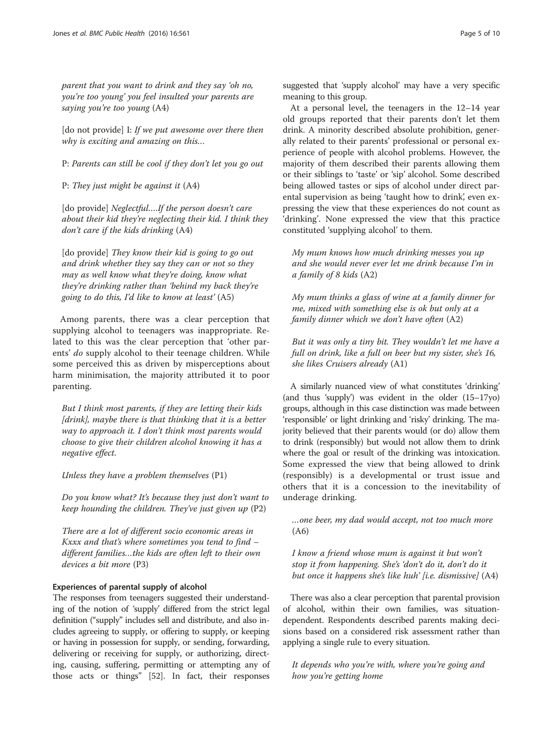parent that you want to drink and they say 'oh no, you're too young' you feel insulted your parents are saying you're too young (A4)

[do not provide] I: If we put awesome over there then why is exciting and amazing on this...

P: Parents can still be cool if they don't let you go out

P: They just might be against it (A4)

[do provide] Neglectful....If the person doesn't care about their kid they're neglecting their kid. I think they don't care if the kids drinking (A4)

[do provide] They know their kid is going to go out and drink whether they say they can or not so they may as well know what they're doing, know what they're drinking rather than 'behind my back they're going to do this, I'd like to know at least' (A5)

Among parents, there was a clear perception that supplying alcohol to teenagers was inappropriate. Related to this was the clear perception that 'other parents' do supply alcohol to their teenage children. While some perceived this as driven by misperceptions about harm minimisation, the majority attributed it to poor parenting.

But I think most parents, if they are letting their kids [drink], maybe there is that thinking that it is a better way to approach it. I don't think most parents would choose to give their children alcohol knowing it has a negative effect.

Unless they have a problem themselves (P1)

Do you know what? It's because they just don't want to keep hounding the children. They've just given up (P2)

There are a lot of different socio economic areas in Kxxx and that's where sometimes you tend to find – different families…the kids are often left to their own devices a bit more (P3)

### Experiences of parental supply of alcohol

The responses from teenagers suggested their understanding of the notion of 'supply' differed from the strict legal definition ("supply" includes sell and distribute, and also includes agreeing to supply, or offering to supply, or keeping or having in possession for supply, or sending, forwarding, delivering or receiving for supply, or authorizing, directing, causing, suffering, permitting or attempting any of those acts or things" [\[52\]](#page-9-0). In fact, their responses suggested that 'supply alcohol' may have a very specific meaning to this group.

At a personal level, the teenagers in the 12–14 year old groups reported that their parents don't let them drink. A minority described absolute prohibition, generally related to their parents' professional or personal experience of people with alcohol problems. However, the majority of them described their parents allowing them or their siblings to 'taste' or 'sip' alcohol. Some described being allowed tastes or sips of alcohol under direct parental supervision as being 'taught how to drink', even expressing the view that these experiences do not count as 'drinking'. None expressed the view that this practice constituted 'supplying alcohol' to them.

My mum knows how much drinking messes you up and she would never ever let me drink because I'm in a family of 8 kids (A2)

My mum thinks a glass of wine at a family dinner for me, mixed with something else is ok but only at a family dinner which we don't have often (A2)

But it was only a tiny bit. They wouldn't let me have a full on drink, like a full on beer but my sister, she's 16, she likes Cruisers already (A1)

A similarly nuanced view of what constitutes 'drinking' (and thus 'supply') was evident in the older (15–17yo) groups, although in this case distinction was made between 'responsible' or light drinking and 'risky' drinking. The majority believed that their parents would (or do) allow them to drink (responsibly) but would not allow them to drink where the goal or result of the drinking was intoxication. Some expressed the view that being allowed to drink (responsibly) is a developmental or trust issue and others that it is a concession to the inevitability of underage drinking.

…one beer, my dad would accept, not too much more (A6)

I know a friend whose mum is against it but won't stop it from happening. She's 'don't do it, don't do it but once it happens she's like huh' [i.e. dismissive] (A4)

There was also a clear perception that parental provision of alcohol, within their own families, was situationdependent. Respondents described parents making decisions based on a considered risk assessment rather than applying a single rule to every situation.

It depends who you're with, where you're going and how you're getting home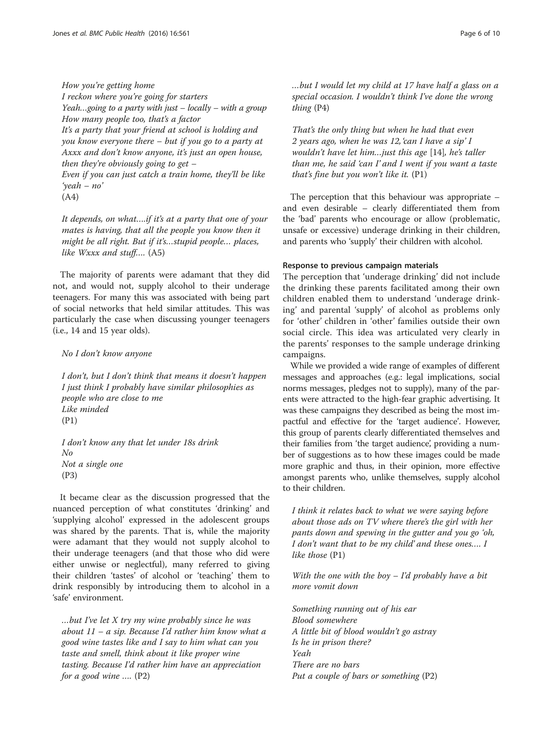### How you're getting home

I reckon where you're going for starters Yeah...going to a party with just  $-$  locally  $-$  with a group How many people too, that's a factor It's a party that your friend at school is holding and you know everyone there – but if you go to a party at Axxx and don't know anyone, it's just an open house, then they're obviously going to get  $-$ Even if you can just catch a train home, they'll be like 'yeah – no'

It depends, on what….if it's at a party that one of your mates is having, that all the people you know then it might be all right. But if it's…stupid people… places, like Wxxx and stuff…. (A5)

The majority of parents were adamant that they did not, and would not, supply alcohol to their underage teenagers. For many this was associated with being part of social networks that held similar attitudes. This was particularly the case when discussing younger teenagers (i.e., 14 and 15 year olds).

## No I don't know anyone

I don't, but I don't think that means it doesn't happen I just think I probably have similar philosophies as people who are close to me Like minded (P1)

I don't know any that let under 18s drink No Not a single one (P3)

It became clear as the discussion progressed that the nuanced perception of what constitutes 'drinking' and 'supplying alcohol' expressed in the adolescent groups was shared by the parents. That is, while the majority were adamant that they would not supply alcohol to their underage teenagers (and that those who did were either unwise or neglectful), many referred to giving their children 'tastes' of alcohol or 'teaching' them to drink responsibly by introducing them to alcohol in a 'safe' environment.

…but I've let X try my wine probably since he was about  $11 - a$  sip. Because I'd rather him know what a good wine tastes like and I say to him what can you taste and smell, think about it like proper wine tasting. Because I'd rather him have an appreciation for a good wine  $\ldots$  (P2)

…but I would let my child at 17 have half a glass on a special occasion. I wouldn't think I've done the wrong thing (P4)

That's the only thing but when he had that even 2 years ago, when he was 12, 'can I have a sip' I wouldn't have let him…just this age [\[14](#page-8-0)], he's taller than me, he said 'can I' and I went if you want a taste that's fine but you won't like it.  $(PI)$ 

The perception that this behaviour was appropriate – and even desirable – clearly differentiated them from the 'bad' parents who encourage or allow (problematic, unsafe or excessive) underage drinking in their children, and parents who 'supply' their children with alcohol.

## Response to previous campaign materials

The perception that 'underage drinking' did not include the drinking these parents facilitated among their own children enabled them to understand 'underage drinking' and parental 'supply' of alcohol as problems only for 'other' children in 'other' families outside their own social circle. This idea was articulated very clearly in the parents' responses to the sample underage drinking campaigns.

While we provided a wide range of examples of different messages and approaches (e.g.: legal implications, social norms messages, pledges not to supply), many of the parents were attracted to the high-fear graphic advertising. It was these campaigns they described as being the most impactful and effective for the 'target audience'. However, this group of parents clearly differentiated themselves and their families from 'the target audience', providing a number of suggestions as to how these images could be made more graphic and thus, in their opinion, more effective amongst parents who, unlike themselves, supply alcohol to their children.

I think it relates back to what we were saying before about those ads on TV where there's the girl with her pants down and spewing in the gutter and you go 'oh, I don't want that to be my child' and these ones…. I like those (P1)

With the one with the boy  $-I'd$  probably have a bit more vomit down

Something running out of his ear Blood somewhere A little bit of blood wouldn't go astray Is he in prison there? Yeah There are no bars Put a couple of bars or something (P2)

<sup>(</sup>A4)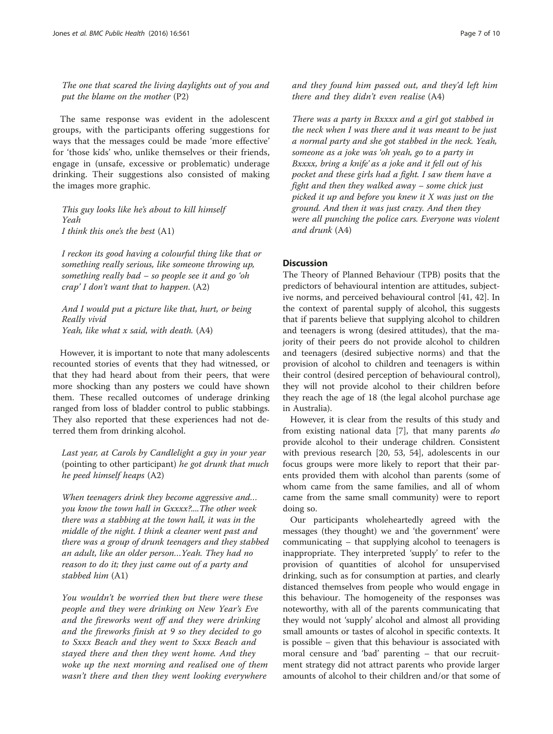The one that scared the living daylights out of you and put the blame on the mother (P2)

The same response was evident in the adolescent groups, with the participants offering suggestions for ways that the messages could be made 'more effective' for 'those kids' who, unlike themselves or their friends, engage in (unsafe, excessive or problematic) underage drinking. Their suggestions also consisted of making the images more graphic.

This guy looks like he's about to kill himself Yeah I think this one's the best (A1)

I reckon its good having a colourful thing like that or something really serious, like someone throwing up, something really bad – so people see it and go 'oh crap' I don't want that to happen. (A2)

And I would put a picture like that, hurt, or being Really vivid Yeah, like what x said, with death. (A4)

However, it is important to note that many adolescents recounted stories of events that they had witnessed, or that they had heard about from their peers, that were more shocking than any posters we could have shown them. These recalled outcomes of underage drinking ranged from loss of bladder control to public stabbings. They also reported that these experiences had not deterred them from drinking alcohol.

Last year, at Carols by Candlelight a guy in your year (pointing to other participant) he got drunk that much he peed himself heaps (A2)

When teenagers drink they become aggressive and... you know the town hall in Gxxxx?....The other week there was a stabbing at the town hall, it was in the middle of the night. I think a cleaner went past and there was a group of drunk teenagers and they stabbed an adult, like an older person…Yeah. They had no reason to do it; they just came out of a party and stabbed him (A1)

You wouldn't be worried then but there were these people and they were drinking on New Year's Eve and the fireworks went off and they were drinking and the fireworks finish at 9 so they decided to go to Sxxx Beach and they went to Sxxx Beach and stayed there and then they went home. And they woke up the next morning and realised one of them wasn't there and then they went looking everywhere

and they found him passed out, and they'd left him there and they didn't even realise (A4)

There was a party in Bxxxx and a girl got stabbed in the neck when I was there and it was meant to be just a normal party and she got stabbed in the neck. Yeah, someone as a joke was 'oh yeah, go to a party in Bxxxx, bring a knife' as a joke and it fell out of his pocket and these girls had a fight. I saw them have a fight and then they walked away – some chick just picked it up and before you knew it X was just on the ground. And then it was just crazy. And then they were all punching the police cars. Everyone was violent and drunk (A4)

## **Discussion**

The Theory of Planned Behaviour (TPB) posits that the predictors of behavioural intention are attitudes, subjective norms, and perceived behavioural control [[41](#page-9-0), [42\]](#page-9-0). In the context of parental supply of alcohol, this suggests that if parents believe that supplying alcohol to children and teenagers is wrong (desired attitudes), that the majority of their peers do not provide alcohol to children and teenagers (desired subjective norms) and that the provision of alcohol to children and teenagers is within their control (desired perception of behavioural control), they will not provide alcohol to their children before they reach the age of 18 (the legal alcohol purchase age in Australia).

However, it is clear from the results of this study and from existing national data [[7](#page-8-0)], that many parents do provide alcohol to their underage children. Consistent with previous research [\[20,](#page-8-0) [53](#page-9-0), [54\]](#page-9-0), adolescents in our focus groups were more likely to report that their parents provided them with alcohol than parents (some of whom came from the same families, and all of whom came from the same small community) were to report doing so.

Our participants wholeheartedly agreed with the messages (they thought) we and 'the government' were communicating – that supplying alcohol to teenagers is inappropriate. They interpreted 'supply' to refer to the provision of quantities of alcohol for unsupervised drinking, such as for consumption at parties, and clearly distanced themselves from people who would engage in this behaviour. The homogeneity of the responses was noteworthy, with all of the parents communicating that they would not 'supply' alcohol and almost all providing small amounts or tastes of alcohol in specific contexts. It is possible – given that this behaviour is associated with moral censure and 'bad' parenting – that our recruitment strategy did not attract parents who provide larger amounts of alcohol to their children and/or that some of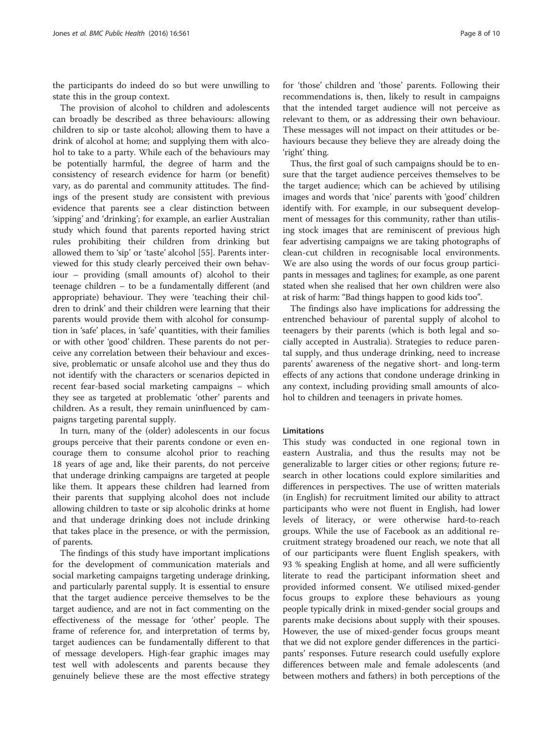the participants do indeed do so but were unwilling to state this in the group context.

The provision of alcohol to children and adolescents can broadly be described as three behaviours: allowing children to sip or taste alcohol; allowing them to have a drink of alcohol at home; and supplying them with alcohol to take to a party. While each of the behaviours may be potentially harmful, the degree of harm and the consistency of research evidence for harm (or benefit) vary, as do parental and community attitudes. The findings of the present study are consistent with previous evidence that parents see a clear distinction between 'sipping' and 'drinking'; for example, an earlier Australian study which found that parents reported having strict rules prohibiting their children from drinking but allowed them to 'sip' or 'taste' alcohol [[55](#page-9-0)]. Parents interviewed for this study clearly perceived their own behav $i$ our – providing (small amounts of) alcohol to their teenage children – to be a fundamentally different (and appropriate) behaviour. They were 'teaching their children to drink' and their children were learning that their parents would provide them with alcohol for consumption in 'safe' places, in 'safe' quantities, with their families or with other 'good' children. These parents do not perceive any correlation between their behaviour and excessive, problematic or unsafe alcohol use and they thus do not identify with the characters or scenarios depicted in recent fear-based social marketing campaigns – which they see as targeted at problematic 'other' parents and children. As a result, they remain uninfluenced by campaigns targeting parental supply.

In turn, many of the (older) adolescents in our focus groups perceive that their parents condone or even encourage them to consume alcohol prior to reaching 18 years of age and, like their parents, do not perceive that underage drinking campaigns are targeted at people like them. It appears these children had learned from their parents that supplying alcohol does not include allowing children to taste or sip alcoholic drinks at home and that underage drinking does not include drinking that takes place in the presence, or with the permission, of parents.

The findings of this study have important implications for the development of communication materials and social marketing campaigns targeting underage drinking, and particularly parental supply. It is essential to ensure that the target audience perceive themselves to be the target audience, and are not in fact commenting on the effectiveness of the message for 'other' people. The frame of reference for, and interpretation of terms by, target audiences can be fundamentally different to that of message developers. High-fear graphic images may test well with adolescents and parents because they genuinely believe these are the most effective strategy for 'those' children and 'those' parents. Following their recommendations is, then, likely to result in campaigns that the intended target audience will not perceive as relevant to them, or as addressing their own behaviour. These messages will not impact on their attitudes or behaviours because they believe they are already doing the 'right' thing.

Thus, the first goal of such campaigns should be to ensure that the target audience perceives themselves to be the target audience; which can be achieved by utilising images and words that 'nice' parents with 'good' children identify with. For example, in our subsequent development of messages for this community, rather than utilising stock images that are reminiscent of previous high fear advertising campaigns we are taking photographs of clean-cut children in recognisable local environments. We are also using the words of our focus group participants in messages and taglines; for example, as one parent stated when she realised that her own children were also at risk of harm: "Bad things happen to good kids too".

The findings also have implications for addressing the entrenched behaviour of parental supply of alcohol to teenagers by their parents (which is both legal and socially accepted in Australia). Strategies to reduce parental supply, and thus underage drinking, need to increase parents' awareness of the negative short- and long-term effects of any actions that condone underage drinking in any context, including providing small amounts of alcohol to children and teenagers in private homes.

#### Limitations

This study was conducted in one regional town in eastern Australia, and thus the results may not be generalizable to larger cities or other regions; future research in other locations could explore similarities and differences in perspectives. The use of written materials (in English) for recruitment limited our ability to attract participants who were not fluent in English, had lower levels of literacy, or were otherwise hard-to-reach groups. While the use of Facebook as an additional recruitment strategy broadened our reach, we note that all of our participants were fluent English speakers, with 93 % speaking English at home, and all were sufficiently literate to read the participant information sheet and provided informed consent. We utilised mixed-gender focus groups to explore these behaviours as young people typically drink in mixed-gender social groups and parents make decisions about supply with their spouses. However, the use of mixed-gender focus groups meant that we did not explore gender differences in the participants' responses. Future research could usefully explore differences between male and female adolescents (and between mothers and fathers) in both perceptions of the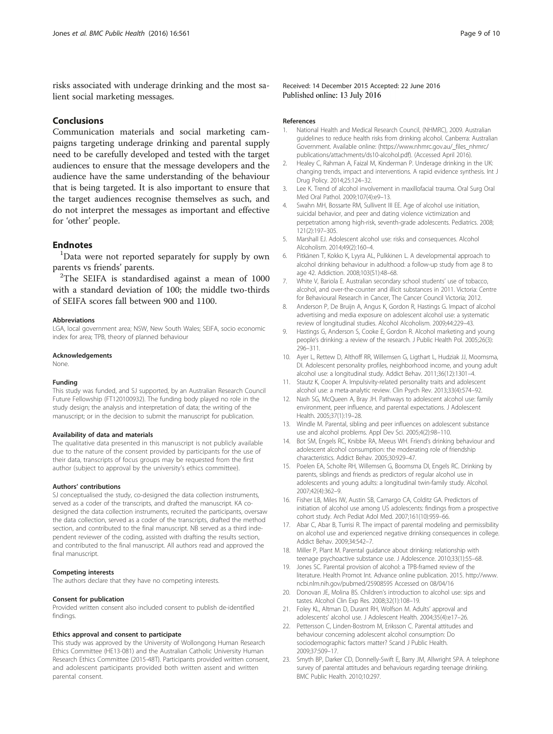<span id="page-8-0"></span>risks associated with underage drinking and the most salient social marketing messages.

## Conclusions

Communication materials and social marketing campaigns targeting underage drinking and parental supply need to be carefully developed and tested with the target audiences to ensure that the message developers and the audience have the same understanding of the behaviour that is being targeted. It is also important to ensure that the target audiences recognise themselves as such, and do not interpret the messages as important and effective for 'other' people.

## **Endnotes**

<sup>1</sup>Data were not reported separately for supply by own parents vs friends' parents. <sup>2</sup>

 $2$ The SEIFA is standardised against a mean of 1000 with a standard deviation of 100; the middle two-thirds of SEIFA scores fall between 900 and 1100.

#### Abbreviations

LGA, local government area; NSW, New South Wales; SEIFA, socio economic index for area; TPB, theory of planned behaviour

#### Acknowledgements

None.

#### Funding

This study was funded, and SJ supported, by an Australian Research Council Future Fellowship (FT120100932). The funding body played no role in the study design; the analysis and interpretation of data; the writing of the manuscript; or in the decision to submit the manuscript for publication.

#### Availability of data and materials

The qualitative data presented in this manuscript is not publicly available due to the nature of the consent provided by participants for the use of their data, transcripts of focus groups may be requested from the first author (subject to approval by the university's ethics committee).

#### Authors' contributions

SJ conceptualised the study, co-designed the data collection instruments, served as a coder of the transcripts, and drafted the manuscript. KA codesigned the data collection instruments, recruited the participants, oversaw the data collection, served as a coder of the transcripts, drafted the method section, and contributed to the final manuscript. NB served as a third independent reviewer of the coding, assisted with drafting the results section, and contributed to the final manuscript. All authors read and approved the final manuscript.

#### Competing interests

The authors declare that they have no competing interests.

#### Consent for publication

Provided written consent also included consent to publish de-identified findings.

#### Ethics approval and consent to participate

This study was approved by the University of Wollongong Human Research Ethics Committee (HE13-081) and the Australian Catholic University Human Research Ethics Committee (2015-48T). Participants provided written consent, and adolescent participants provided both written assent and written parental consent.

Received: 14 December 2015 Accepted: 22 June 2016 Published online: 13 July 2016

#### References

- 1. National Health and Medical Research Council, (NHMRC), 2009. Australian guidelines to reduce health risks from drinking alcohol. Canberra: Australian Government. Available online: [\(https://www.nhmrc.gov.au/\\_files\\_nhmrc/](https://www.nhmrc.gov.au/_files_nhmrc/publications/attachments/ds10-alcohol.pdf) [publications/attachments/ds10-alcohol.pdf](https://www.nhmrc.gov.au/_files_nhmrc/publications/attachments/ds10-alcohol.pdf)). (Accessed April 2016).
- 2. Healey C, Rahman A, Faizal M, Kinderman P. Underage drinking in the UK: changing trends, impact and interventions. A rapid evidence synthesis. Int J Drug Policy. 2014;25:124–32.
- 3. Lee K. Trend of alcohol involvement in maxillofacial trauma. Oral Surg Oral Med Oral Pathol. 2009;107(4):e9–13.
- 4. Swahn MH, Bossarte RM, Sullivent III EE. Age of alcohol use initiation, suicidal behavior, and peer and dating violence victimization and perpetration among high-risk, seventh-grade adolescents. Pediatrics. 2008; 121(2):197–305.
- 5. Marshall EJ. Adolescent alcohol use: risks and consequences. Alcohol Alcoholism. 2014;49(2):160–4.
- 6. Pitkänen T, Kokko K, Lyyra AL, Pulkkinen L. A developmental approach to alcohol drinking behaviour in adulthood: a follow-up study from age 8 to age 42. Addiction. 2008;103(S1):48–68.
- 7. White V, Bariola E. Australian secondary school students' use of tobacco, alcohol, and over-the-counter and illicit substances in 2011. Victoria: Centre for Behavioural Research in Cancer, The Cancer Council Victoria; 2012.
- 8. Anderson P, De Bruijn A, Angus K, Gordon R, Hastings G. Impact of alcohol advertising and media exposure on adolescent alcohol use: a systematic review of longitudinal studies. Alcohol Alcoholism. 2009;44:229–43.
- 9. Hastings G, Anderson S, Cooke E, Gordon R. Alcohol marketing and young people's drinking: a review of the research. J Public Health Pol. 2005;26(3): 296–311.
- 10. Ayer L, Rettew D, Althoff RR, Willemsen G, Ligthart L, Hudziak JJ, Moomsma, DI. Adolescent personality profiles, neighborhood income, and young adult alcohol use: a longitudinal study. Addict Behav. 2011;36(12):1301–4.
- 11. Stautz K, Cooper A. Impulsivity-related personality traits and adolescent alcohol use: a meta-analytic review. Clin Psych Rev. 2013;33(4):574–92.
- 12. Nash SG, McQueen A, Bray JH. Pathways to adolescent alcohol use: family environment, peer influence, and parental expectations. J Adolescent Health. 2005;37(1):19–28.
- 13. Windle M. Parental, sibling and peer influences on adolescent substance use and alcohol problems. Appl Dev Sci. 2005;4(2):98–110.
- 14. Bot SM, Engels RC, Knibbe RA, Meeus WH. Friend's drinking behaviour and adolescent alcohol consumption: the moderating role of friendship characteristics. Addict Behav. 2005;30:929–47.
- 15. Poelen EA, Scholte RH, Willemsen G, Boomsma DI, Engels RC. Drinking by parents, siblings and friends as predictors of regular alcohol use in adolescents and young adults: a longitudinal twin-family study. Alcohol. 2007;42(4):362–9.
- 16. Fisher LB, Miles IW, Austin SB, Camargo CA, Colditz GA. Predictors of initiation of alcohol use among US adolescents: findings from a prospective cohort study. Arch Pediat Adol Med. 2007;161(10):959–66.
- 17. Abar C, Abar B, Turrisi R. The impact of parental modeling and permissibility on alcohol use and experienced negative drinking consequences in college. Addict Behav. 2009;34:542–7.
- 18. Miller P, Plant M. Parental guidance about drinking: relationship with teenage psychoactive substance use. J Adolescence. 2010;33(1):55–68.
- 19. Jones SC. Parental provision of alcohol: a TPB-framed review of the literature. Health Promot Int. Advance online publication. 2015. [http://www.](http://www.ncbi.nlm.nih.gov/pubmed/25908595) [ncbi.nlm.nih.gov/pubmed/25908595](http://www.ncbi.nlm.nih.gov/pubmed/25908595) Accessed on 08/04/16
- 20. Donovan JE, Molina BS. Children's introduction to alcohol use: sips and tastes. Alcohol Clin Exp Res. 2008;32(1):108–19.
- 21. Foley KL, Altman D, Durant RH, Wolfson M. Adults' approval and adolescents' alcohol use. J Adolescent Health. 2004;35(4):e17–26.
- 22. Pettersson C, Linden-Bostrom M, Eriksson C. Parental attitudes and behaviour concerning adolescent alcohol consumption: Do sociodemographic factors matter? Scand J Public Health. 2009;37:509–17.
- 23. Smyth BP, Darker CD, Donnelly-Swift E, Barry JM, Allwright SPA. A telephone survey of parental attitudes and behaviours regarding teenage drinking. BMC Public Health. 2010;10:297.